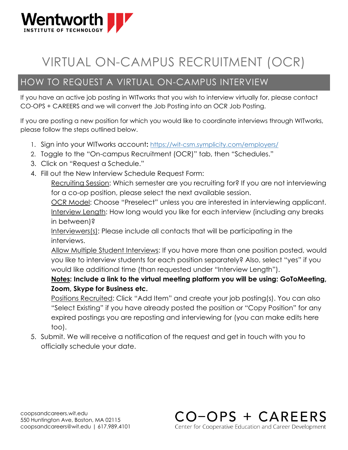

## VIRTUAL ON-CAMPUS RECRUITMENT (OCR)

## HOW TO REQUEST A VIRTUAL ON-CAMPUS INTERVIEW

If you have an active job posting in WITworks that you wish to interview virtually for, please contact CO-OPS + CAREERS and we will convert the Job Posting into an OCR Job Posting.

If you are posting a new position for which you would like to coordinate interviews through WITworks, please follow the steps outlined below.

- 1. Sign into your WITworks account**:** <https://wit-csm.symplicity.com/employers/>
- 2. Toggle to the "On-campus Recruitment (OCR)" tab, then "Schedules."
- 3. Click on "Request a Schedule."
- 4. Fill out the New Interview Schedule Request Form:

Recruiting Session: Which semester are you recruiting for? If you are not interviewing for a co-op position, please select the next available session.

OCR Model: Choose "Preselect" unless you are interested in interviewing applicant. Interview Length: How long would you like for each interview (including any breaks in between)?

Interviewers(s): Please include all contacts that will be participating in the interviews.

Allow Multiple Student Interviews: If you have more than one position posted, would you like to interview students for each position separately? Also, select "yes" if you would like additional time (than requested under "Interview Length").

**Notes: Include a link to the virtual meeting platform you will be using: GoToMeeting, Zoom, Skype for Business etc.**

Positions Recruited: Click "Add Item" and create your job posting(s). You can also "Select Existing" if you have already posted the position or "Copy Position" for any expired postings you are reposting and interviewing for (you can make edits here too).

> CO-OPS + CAREERS Center for Cooperative Education and Career Development

5. Submit. We will receive a notification of the request and get in touch with you to officially schedule your date.